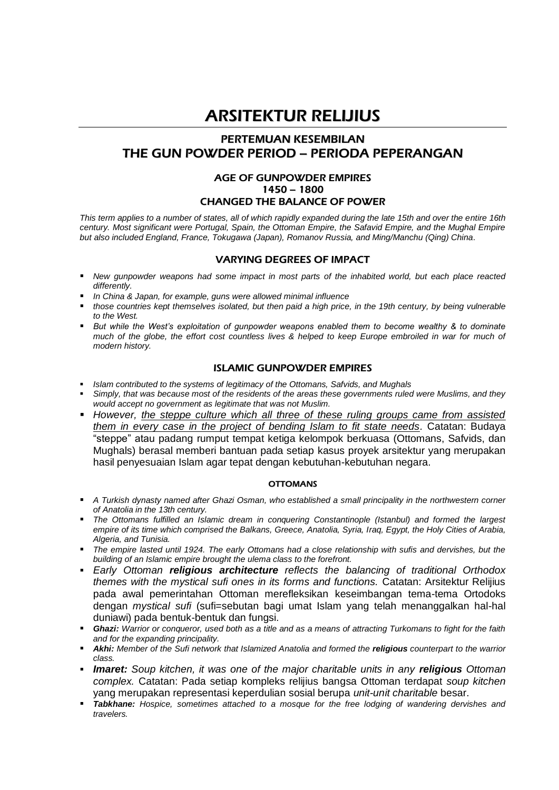# ARSITEKTUR RELIJIUS

# PERTEMUAN KESEMBILAN THE GUN POWDER PERIOD – PERIODA PEPERANGAN

# AGE OF GUNPOWDER EMPIRES 1450 – 1800 CHANGED THE BALANCE OF POWER

*This term applies to a number of states, all of which rapidly expanded during the late 15th and over the entire 16th century. Most significant were Portugal, Spain, the Ottoman Empire, the Safavid Empire, and the Mughal Empire but also included England, France, Tokugawa (Japan), Romanov Russia, and Ming/Manchu (Qing) China.*

# VARYING DEGREES OF IMPACT

- *New gunpowder weapons had some impact in most parts of the inhabited world, but each place reacted differently.*
- *In China & Japan, for example, guns were allowed minimal influence*
- *those countries kept themselves isolated, but then paid a high price, in the 19th century, by being vulnerable to the West.*
- *But while the West's exploitation of gunpowder weapons enabled them to become wealthy & to dominate much of the globe, the effort cost countless lives & helped to keep Europe embroiled in war for much of modern history.*

# ISLAMIC GUNPOWDER EMPIRES

- *Islam contributed to the systems of legitimacy of the Ottomans, Safvids, and Mughals*
- *Simply, that was because most of the residents of the areas these governments ruled were Muslims, and they would accept no government as legitimate that was not Muslim.*
- *However, the steppe culture which all three of these ruling groups came from assisted them in every case in the project of bending Islam to fit state needs.* Catatan: Budaya "steppe" atau padang rumput tempat ketiga kelompok berkuasa (Ottomans, Safvids, dan Mughals) berasal memberi bantuan pada setiap kasus proyek arsitektur yang merupakan hasil penyesuaian Islam agar tepat dengan kebutuhan-kebutuhan negara.

## **OTTOMANS**

- *A Turkish dynasty named after Ghazi Osman, who established a small principality in the northwestern corner of Anatolia in the 13th century.*
- *The Ottomans fulfilled an Islamic dream in conquering Constantinople (Istanbul) and formed the largest empire of its time which comprised the Balkans, Greece, Anatolia, Syria, Iraq, Egypt, the Holy Cities of Arabia, Algeria, and Tunisia.*
- *The empire lasted until 1924. The early Ottomans had a close relationship with sufis and dervishes, but the building of an Islamic empire brought the ulema class to the forefront.*
- *Early Ottoman religious architecture reflects the balancing of traditional Orthodox themes with the mystical sufi ones in its forms and functions.* Catatan: Arsitektur Relijius pada awal pemerintahan Ottoman merefleksikan keseimbangan tema-tema Ortodoks dengan *mystical sufi* (sufi=sebutan bagi umat Islam yang telah menanggalkan hal-hal duniawi) pada bentuk-bentuk dan fungsi.
- *Ghazi: Warrior or conqueror, used both as a title and as a means of attracting Turkomans to fight for the faith and for the expanding principality.*
- *Akhi: Member of the Sufi network that Islamized Anatolia and formed the religious counterpart to the warrior class.*
- *Imaret: Soup kitchen, it was one of the major charitable units in any religious Ottoman complex.* Catatan: Pada setiap kompleks relijius bangsa Ottoman terdapat *soup kitchen* yang merupakan representasi keperdulian sosial berupa *unit-unit charitable* besar.
- *Tabkhane: Hospice, sometimes attached to a mosque for the free lodging of wandering dervishes and travelers.*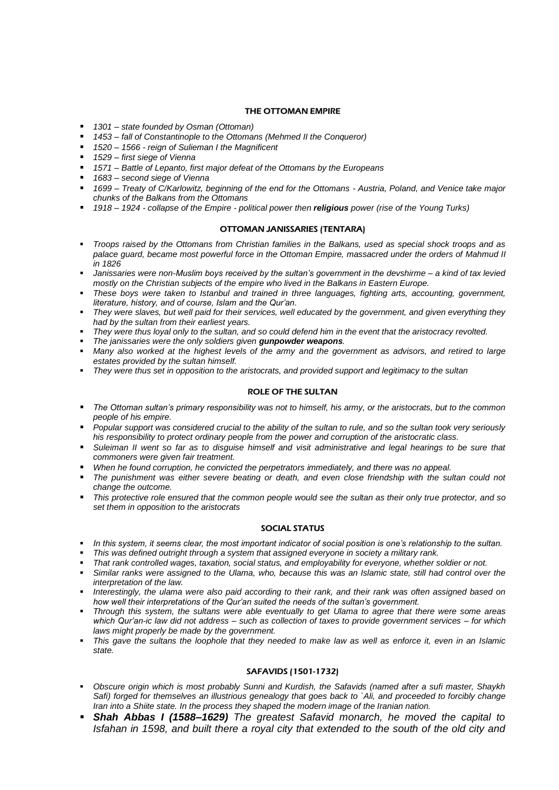#### THE OTTOMAN EMPIRE

- *1301 – state founded by Osman (Ottoman)*
- *1453 – fall of Constantinople to the Ottomans (Mehmed II the Conqueror)*
- *1520 – 1566 - reign of Sulieman I the Magnificent*
- *1529 – first siege of Vienna*
- *1571 – Battle of Lepanto, first major defeat of the Ottomans by the Europeans*
- *1683 – second siege of Vienna*
- *1699 – Treaty of C/Karlowitz, beginning of the end for the Ottomans - Austria, Poland, and Venice take major chunks of the Balkans from the Ottomans*
- *1918 – 1924 - collapse of the Empire - political power then religious power (rise of the Young Turks)*

#### OTTOMAN JANISSARIES (TENTARA)

- *Troops raised by the Ottomans from Christian families in the Balkans, used as special shock troops and as palace guard, became most powerful force in the Ottoman Empire, massacred under the orders of Mahmud II in 1826*
- *Janissaries were non-Muslim boys received by the sultan's government in the devshirme – a kind of tax levied mostly on the Christian subjects of the empire who lived in the Balkans in Eastern Europe.*
- *These boys were taken to Istanbul and trained in three languages, fighting arts, accounting, government, literature, history, and of course, Islam and the Qur'an.*
- *They were slaves, but well paid for their services, well educated by the government, and given everything they had by the sultan from their earliest years.*
- *They were thus loyal only to the sultan, and so could defend him in the event that the aristocracy revolted.*
- *The janissaries were the only soldiers given gunpowder weapons.*
- *Many also worked at the highest levels of the army and the government as advisors, and retired to large estates provided by the sultan himself.*
- *They were thus set in opposition to the aristocrats, and provided support and legitimacy to the sultan*

### ROLE OF THE SULTAN

- *The Ottoman sultan's primary responsibility was not to himself, his army, or the aristocrats, but to the common people of his empire.*
- *Popular support was considered crucial to the ability of the sultan to rule, and so the sultan took very seriously his responsibility to protect ordinary people from the power and corruption of the aristocratic class.*
- *Suleiman II went so far as to disguise himself and visit administrative and legal hearings to be sure that commoners were given fair treatment.*
- *When he found corruption, he convicted the perpetrators immediately, and there was no appeal.*
- *The punishment was either severe beating or death, and even close friendship with the sultan could not change the outcome.*
- *This protective role ensured that the common people would see the sultan as their only true protector, and so set them in opposition to the aristocrats*

#### SOCIAL STATUS

- *In this system, it seems clear, the most important indicator of social position is one's relationship to the sultan.*
- *This was defined outright through a system that assigned everyone in society a military rank.*
- *That rank controlled wages, taxation, social status, and employability for everyone, whether soldier or not.*
- *Similar ranks were assigned to the Ulama, who, because this was an Islamic state, still had control over the interpretation of the law.*
- *Interestingly, the ulama were also paid according to their rank, and their rank was often assigned based on how well their interpretations of the Qur'an suited the needs of the sultan's government.*
- *Through this system, the sultans were able eventually to get Ulama to agree that there were some areas which Qur'an-ic law did not address – such as collection of taxes to provide government services – for which laws might properly be made by the government.*
- *This gave the sultans the loophole that they needed to make law as well as enforce it, even in an Islamic state.*

#### SAFAVIDS (1501-1732)

- *Obscure origin which is most probably Sunni and Kurdish, the Safavids (named after a sufi master, Shaykh Safi) forged for themselves an illustrious genealogy that goes back to `Ali, and proceeded to forcibly change Iran into a Shiite state. In the process they shaped the modern image of the Iranian nation.*
- *Shah Abbas I (1588–1629) The greatest Safavid monarch, he moved the capital to Isfahan in 1598, and built there a royal city that extended to the south of the old city and*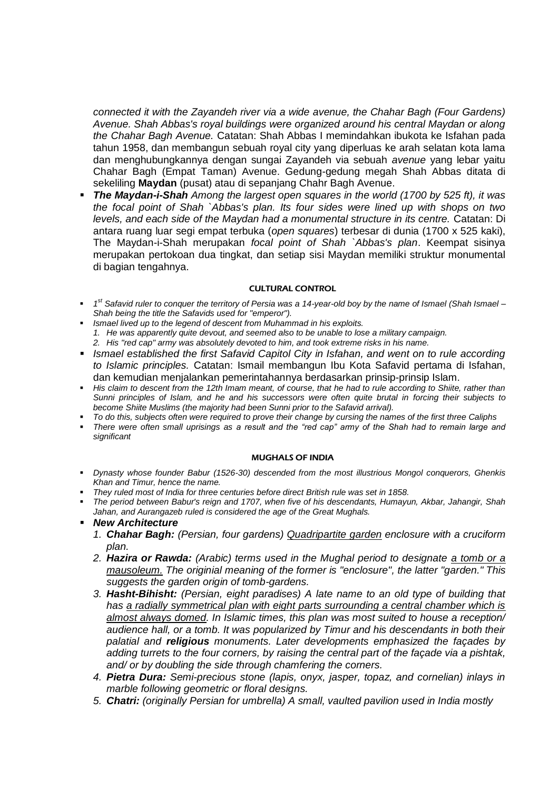*connected it with the Zayandeh river via a wide avenue, the Chahar Bagh (Four Gardens) Avenue. Shah Abbas's royal buildings were organized around his central Maydan or along the Chahar Bagh Avenue.* Catatan: Shah Abbas I memindahkan ibukota ke Isfahan pada tahun 1958, dan membangun sebuah royal city yang diperluas ke arah selatan kota lama dan menghubungkannya dengan sungai Zayandeh via sebuah *avenue* yang lebar yaitu Chahar Bagh (Empat Taman) Avenue. Gedung-gedung megah Shah Abbas ditata di sekeliling **Maydan** (pusat) atau di sepanjang Chahr Bagh Avenue.

 *The Maydan-i-Shah Among the largest open squares in the world (1700 by 525 ft), it was the focal point of Shah `Abbas's plan. Its four sides were lined up with shops on two levels, and each side of the Maydan had a monumental structure in its centre.* Catatan: Di antara ruang luar segi empat terbuka (*open squares*) terbesar di dunia (1700 x 525 kaki), The Maydan-i-Shah merupakan *focal point of Shah `Abbas's plan*. Keempat sisinya merupakan pertokoan dua tingkat, dan setiap sisi Maydan memiliki struktur monumental di bagian tengahnya.

#### CULTURAL CONTROL

- *1 st Safavid ruler to conquer the territory of Persia was a 14-year-old boy by the name of Ismael (Shah Ismael – Shah being the title the Safavids used for "emperor").*
- *Ismael lived up to the legend of descent from Muhammad in his exploits.*
- *1. He was apparently quite devout, and seemed also to be unable to lose a military campaign.*
- *2. His "red cap" army was absolutely devoted to him, and took extreme risks in his name.*
- **ISMael established the first Safavid Capitol City in Isfahan, and went on to rule according** *to Islamic principles.* Catatan: Ismail membangun Ibu Kota Safavid pertama di Isfahan, dan kemudian menjalankan pemerintahannya berdasarkan prinsip-prinsip Islam.
- **His claim to descent from the 12th Imam meant, of course, that he had to rule according to Shiite, rather than** *Sunni principles of Islam, and he and his successors were often quite brutal in forcing their subjects to become Shiite Muslims (the majority had been Sunni prior to the Safavid arrival).*
- *To do this, subjects often were required to prove their change by cursing the names of the first three Caliphs*
- *There were often small uprisings as a result and the "red cap" army of the Shah had to remain large and significant*

#### MUGHALS OF INDIA

- *Dynasty whose founder Babur (1526-30) descended from the most illustrious Mongol conquerors, Ghenkis Khan and Timur, hence the name.*
- *They ruled most of India for three centuries before direct British rule was set in 1858.*
- *The period between Babur's reign and 1707, when five of his descendants, Humayun, Akbar, Jahangir, Shah Jahan, and Aurangazeb ruled is considered the age of the Great Mughals.*
- *New Architecture* 
	- *1. Chahar Bagh: (Persian, four gardens) Quadripartite garden enclosure with a cruciform plan.*
	- *2. Hazira or Rawda: (Arabic) terms used in the Mughal period to designate a tomb or a mausoleum. The originial meaning of the former is "enclosure", the latter "garden." This suggests the garden origin of tomb-gardens.*
	- *3. Hasht-Bihisht: (Persian, eight paradises) A late name to an old type of building that has a radially symmetrical plan with eight parts surrounding a central chamber which is almost always domed. In Islamic times, this plan was most suited to house a reception/ audience hall, or a tomb. It was popularized by Timur and his descendants in both their palatial and religious monuments. Later developments emphasized the façades by adding turrets to the four corners, by raising the central part of the façade via a pishtak, and/ or by doubling the side through chamfering the corners.*
	- *4. Pietra Dura: Semi-precious stone (lapis, onyx, jasper, topaz, and cornelian) inlays in marble following geometric or floral designs.*
	- *5. Chatri: (originally Persian for umbrella) A small, vaulted pavilion used in India mostly*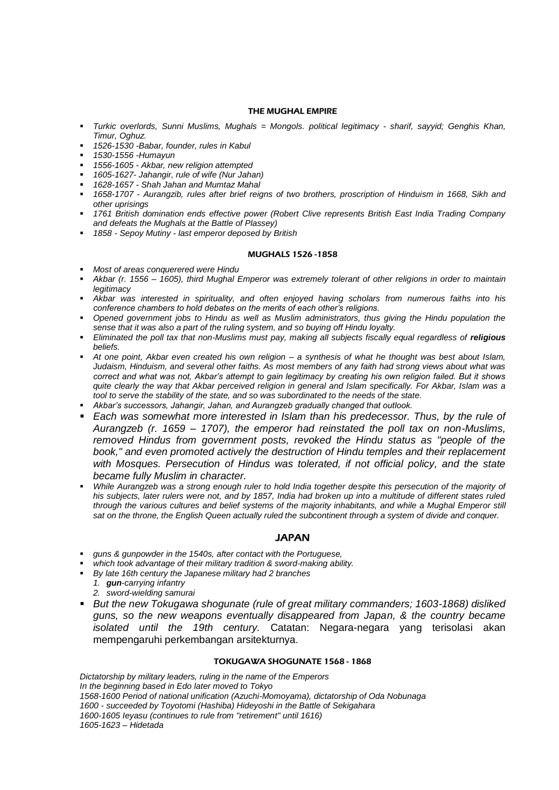#### THE MUGHAL EMPIRE

- *Turkic overlords, Sunni Muslims, Mughals = Mongols. political legitimacy - sharif, sayyid; Genghis Khan, Timur, Oghuz.*
- *1526-1530 -Babar, founder, rules in Kabul*
- *1530-1556 -Humayun*
- *1556-1605 - Akbar, new religion attempted*
- *1605-1627- Jahangir, rule of wife (Nur Jahan)*
- *1628-1657 - Shah Jahan and Mumtaz Mahal*
- *1658-1707 - Aurangzib, rules after brief reigns of two brothers, proscription of Hinduism in 1668, Sikh and other uprisings*
- *1761 British domination ends effective power (Robert Clive represents British East India Trading Company and defeats the Mughals at the Battle of Plassey)*
- *1858 - Sepoy Mutiny - last emperor deposed by British*

#### MUGHALS 1526 -1858

- *Most of areas conquerered were Hindu*
- *Akbar (r. 1556 – 1605), third Mughal Emperor was extremely tolerant of other religions in order to maintain legitimacy*
- *Akbar was interested in spirituality, and often enjoyed having scholars from numerous faiths into his conference chambers to hold debates on the merits of each other's religions.*
- *Opened government jobs to Hindu as well as Muslim administrators, thus giving the Hindu population the sense that it was also a part of the ruling system, and so buying off Hindu loyalty.*
- *Eliminated the poll tax that non-Muslims must pay, making all subjects fiscally equal regardless of <i>religious beliefs.*
- *At one point, Akbar even created his own religion – a synthesis of what he thought was best about Islam, Judaism, Hinduism, and several other faiths. As most members of any faith had strong views about what was correct and what was not, Akbar's attempt to gain legitimacy by creating his own religion failed. But it shows quite clearly the way that Akbar perceived religion in general and Islam specifically. For Akbar, Islam was a tool to serve the stability of the state, and so was subordinated to the needs of the state.*
- *Akbar's successors, Jahangir, Jahan, and Aurangzeb gradually changed that outlook.*
- *Each was somewhat more interested in Islam than his predecessor. Thus, by the rule of Aurangzeb (r. 1659 – 1707), the emperor had reinstated the poll tax on non-Muslims, removed Hindus from government posts, revoked the Hindu status as "people of the book," and even promoted actively the destruction of Hindu temples and their replacement with Mosques. Persecution of Hindus was tolerated, if not official policy, and the state became fully Muslim in character.*
- *While Aurangzeb was a strong enough ruler to hold India together despite this persecution of the majority of his subjects, later rulers were not, and by 1857, India had broken up into a multitude of different states ruled through the various cultures and belief systems of the majority inhabitants, and while a Mughal Emperor still sat on the throne, the English Queen actually ruled the subcontinent through a system of divide and conquer.*

## JAPAN

- *guns & gunpowder in the 1540s, after contact with the Portuguese,*
- *which took advantage of their military tradition & sword-making ability.*
- *By late 16th century the Japanese military had 2 branches*
	- *1. gun-carrying infantry 2. sword-wielding samurai*
- *But the new Tokugawa shogunate (rule of great military commanders; 1603-1868) disliked guns, so the new weapons eventually disappeared from Japan, & the country became isolated until the 19th century.* Catatan: Negara-negara yang terisolasi akan mempengaruhi perkembangan arsitekturnya.

## TOKUGAWA SHOGUNATE 1568 - 1868

*Dictatorship by military leaders, ruling in the name of the Emperors In the beginning based in Edo later moved to Tokyo 1568-1600 Period of national unification (Azuchi-Momoyama), dictatorship of Oda Nobunaga 1600 - succeeded by Toyotomi (Hashiba) Hideyoshi in the Battle of Sekigahara 1600-1605 Ieyasu (continues to rule from "retirement" until 1616) 1605-1623 – Hidetada*